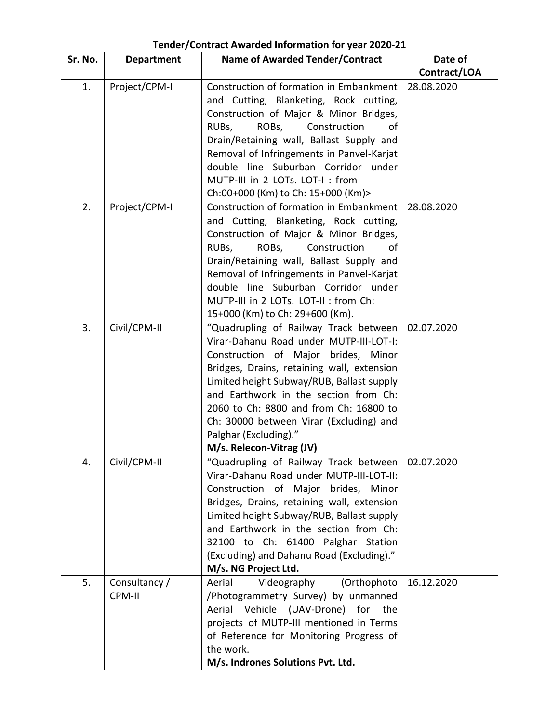| Tender/Contract Awarded Information for year 2020-21 |                         |                                                                                                                                                                                                                                                                                                                                                                                                       |              |
|------------------------------------------------------|-------------------------|-------------------------------------------------------------------------------------------------------------------------------------------------------------------------------------------------------------------------------------------------------------------------------------------------------------------------------------------------------------------------------------------------------|--------------|
| Sr. No.                                              | <b>Department</b>       | <b>Name of Awarded Tender/Contract</b>                                                                                                                                                                                                                                                                                                                                                                | Date of      |
|                                                      |                         |                                                                                                                                                                                                                                                                                                                                                                                                       | Contract/LOA |
| 1.                                                   | Project/CPM-I           | Construction of formation in Embankment<br>and Cutting, Blanketing, Rock cutting,<br>Construction of Major & Minor Bridges,<br>Construction<br>RUBs,<br>ROBs,<br>οf<br>Drain/Retaining wall, Ballast Supply and                                                                                                                                                                                       | 28.08.2020   |
|                                                      |                         | Removal of Infringements in Panvel-Karjat<br>double line Suburban Corridor under<br>MUTP-III in 2 LOTs. LOT-I: from<br>Ch:00+000 (Km) to Ch: 15+000 (Km)>                                                                                                                                                                                                                                             |              |
| 2.                                                   | Project/CPM-I           | Construction of formation in Embankment<br>and Cutting, Blanketing, Rock cutting,<br>Construction of Major & Minor Bridges,<br>ROBs,<br>Construction<br>RUBs,<br>οf<br>Drain/Retaining wall, Ballast Supply and<br>Removal of Infringements in Panvel-Karjat<br>double line Suburban Corridor under<br>MUTP-III in 2 LOTs. LOT-II : from Ch:<br>15+000 (Km) to Ch: 29+600 (Km).                       | 28.08.2020   |
| 3.                                                   | Civil/CPM-II            | "Quadrupling of Railway Track between<br>Virar-Dahanu Road under MUTP-III-LOT-I:<br>Construction of Major brides, Minor<br>Bridges, Drains, retaining wall, extension<br>Limited height Subway/RUB, Ballast supply<br>and Earthwork in the section from Ch:<br>2060 to Ch: 8800 and from Ch: 16800 to<br>Ch: 30000 between Virar (Excluding) and<br>Palghar (Excluding)."<br>M/s. Relecon-Vitrag (JV) | 02.07.2020   |
| 4.                                                   | Civil/CPM-II            | "Quadrupling of Railway Track between<br>Virar-Dahanu Road under MUTP-III-LOT-II:<br>Construction of Major brides, Minor<br>Bridges, Drains, retaining wall, extension<br>Limited height Subway/RUB, Ballast supply<br>and Earthwork in the section from Ch:<br>32100 to Ch: 61400 Palghar Station<br>(Excluding) and Dahanu Road (Excluding)."<br>M/s. NG Project Ltd.                               | 02.07.2020   |
| 5.                                                   | Consultancy /<br>CPM-II | Aerial<br>Videography<br>(Orthophoto<br>/Photogrammetry Survey) by unmanned<br>Aerial Vehicle (UAV-Drone) for<br>the<br>projects of MUTP-III mentioned in Terms<br>of Reference for Monitoring Progress of<br>the work.<br>M/s. Indrones Solutions Pvt. Ltd.                                                                                                                                          | 16.12.2020   |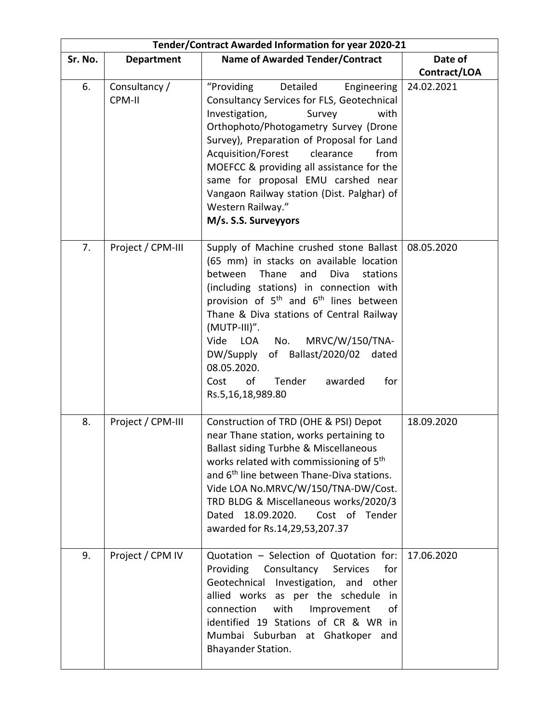| Tender/Contract Awarded Information for year 2020-21 |                         |                                                                                                                                                                                                                                                                                                                                                                                                                                                                         |              |
|------------------------------------------------------|-------------------------|-------------------------------------------------------------------------------------------------------------------------------------------------------------------------------------------------------------------------------------------------------------------------------------------------------------------------------------------------------------------------------------------------------------------------------------------------------------------------|--------------|
| Sr. No.                                              | <b>Department</b>       | <b>Name of Awarded Tender/Contract</b>                                                                                                                                                                                                                                                                                                                                                                                                                                  | Date of      |
|                                                      |                         |                                                                                                                                                                                                                                                                                                                                                                                                                                                                         | Contract/LOA |
| 6.                                                   | Consultancy /<br>CPM-II | "Providing<br>Detailed<br>Engineering<br>Consultancy Services for FLS, Geotechnical<br>Investigation,<br>Survey<br>with<br>Orthophoto/Photogametry Survey (Drone<br>Survey), Preparation of Proposal for Land<br>Acquisition/Forest<br>clearance<br>from<br>MOEFCC & providing all assistance for the<br>same for proposal EMU carshed near<br>Vangaon Railway station (Dist. Palghar) of<br>Western Railway."<br>M/s. S.S. Surveyyors                                  | 24.02.2021   |
| 7.                                                   | Project / CPM-III       | Supply of Machine crushed stone Ballast<br>(65 mm) in stacks on available location<br>between<br>Thane<br>and<br>Diva<br>stations<br>(including stations) in connection with<br>provision of 5 <sup>th</sup> and 6 <sup>th</sup> lines between<br>Thane & Diva stations of Central Railway<br>(MUTP-III)".<br>MRVC/W/150/TNA-<br>Vide<br>No.<br>LOA<br>DW/Supply of Ballast/2020/02 dated<br>08.05.2020.<br>of<br>Tender<br>awarded<br>for<br>Cost<br>Rs.5,16,18,989.80 | 08.05.2020   |
| 8.                                                   | Project / CPM-III       | Construction of TRD (OHE & PSI) Depot<br>near Thane station, works pertaining to<br>Ballast siding Turbhe & Miscellaneous<br>works related with commissioning of 5 <sup>th</sup><br>and 6 <sup>th</sup> line between Thane-Diva stations.<br>Vide LOA No.MRVC/W/150/TNA-DW/Cost.<br>TRD BLDG & Miscellaneous works/2020/3<br>Dated 18.09.2020.<br>Cost of Tender<br>awarded for Rs.14,29,53,207.37                                                                      | 18.09.2020   |
| 9.                                                   | Project / CPM IV        | Quotation - Selection of Quotation for:<br>Providing<br>Consultancy<br>for<br>Services<br>Geotechnical<br>Investigation, and other<br>allied works as per the schedule<br>in<br>with<br>connection<br>Improvement<br>οf<br>identified 19 Stations of CR & WR in<br>Mumbai Suburban at Ghatkoper and<br>Bhayander Station.                                                                                                                                               | 17.06.2020   |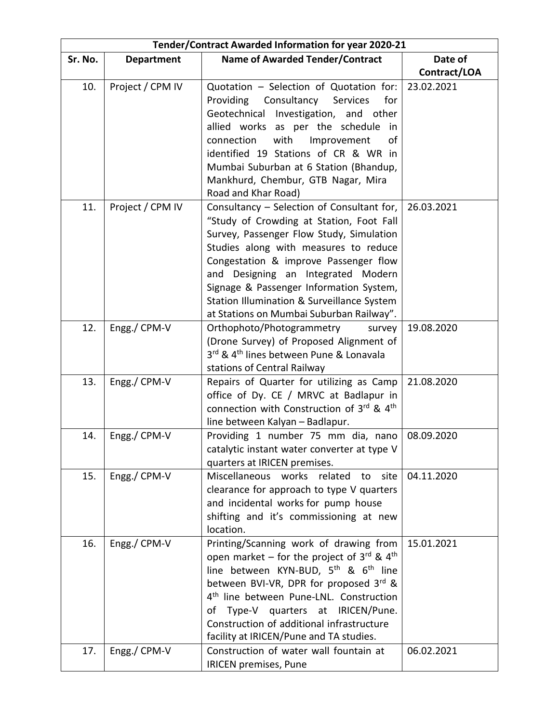| Tender/Contract Awarded Information for year 2020-21 |                   |                                                                                                                                                                                                                                                                                                                                                                                                  |              |
|------------------------------------------------------|-------------------|--------------------------------------------------------------------------------------------------------------------------------------------------------------------------------------------------------------------------------------------------------------------------------------------------------------------------------------------------------------------------------------------------|--------------|
| Sr. No.                                              | <b>Department</b> | <b>Name of Awarded Tender/Contract</b>                                                                                                                                                                                                                                                                                                                                                           | Date of      |
|                                                      |                   |                                                                                                                                                                                                                                                                                                                                                                                                  | Contract/LOA |
| 10.                                                  | Project / CPM IV  | Quotation - Selection of Quotation for:<br>Providing Consultancy Services<br>for<br>Geotechnical Investigation, and other<br>allied works as per the schedule in<br>connection<br>with<br>Improvement<br>οf<br>identified 19 Stations of CR & WR in<br>Mumbai Suburban at 6 Station (Bhandup,<br>Mankhurd, Chembur, GTB Nagar, Mira                                                              | 23.02.2021   |
| 11.                                                  | Project / CPM IV  | Road and Khar Road)<br>Consultancy – Selection of Consultant for,<br>"Study of Crowding at Station, Foot Fall                                                                                                                                                                                                                                                                                    | 26.03.2021   |
|                                                      |                   | Survey, Passenger Flow Study, Simulation<br>Studies along with measures to reduce<br>Congestation & improve Passenger flow<br>and Designing an Integrated Modern<br>Signage & Passenger Information System,<br>Station Illumination & Surveillance System<br>at Stations on Mumbai Suburban Railway".                                                                                            |              |
| 12.                                                  | Engg./ CPM-V      | Orthophoto/Photogrammetry<br>survey<br>(Drone Survey) of Proposed Alignment of<br>3rd & 4 <sup>th</sup> lines between Pune & Lonavala<br>stations of Central Railway                                                                                                                                                                                                                             | 19.08.2020   |
| 13.                                                  | Engg./ CPM-V      | Repairs of Quarter for utilizing as Camp<br>office of Dy. CE / MRVC at Badlapur in<br>connection with Construction of 3rd & 4th<br>line between Kalyan - Badlapur.                                                                                                                                                                                                                               | 21.08.2020   |
| 14.                                                  | Engg./ CPM-V      | Providing 1 number 75 mm dia, nano<br>catalytic instant water converter at type V<br>quarters at IRICEN premises.                                                                                                                                                                                                                                                                                | 08.09.2020   |
| 15.                                                  | Engg./ CPM-V      | Miscellaneous works related<br>site<br>to<br>clearance for approach to type V quarters<br>and incidental works for pump house<br>shifting and it's commissioning at new<br>location.                                                                                                                                                                                                             | 04.11.2020   |
| 16.                                                  | Engg./ CPM-V      | Printing/Scanning work of drawing from<br>open market – for the project of $3^{rd}$ & $4^{th}$<br>line between KYN-BUD, 5 <sup>th</sup> & 6 <sup>th</sup> line<br>between BVI-VR, DPR for proposed 3rd &<br>4 <sup>th</sup> line between Pune-LNL. Construction<br>Type-V quarters at IRICEN/Pune.<br>οf<br>Construction of additional infrastructure<br>facility at IRICEN/Pune and TA studies. | 15.01.2021   |
| 17.                                                  | Engg./ CPM-V      | Construction of water wall fountain at<br><b>IRICEN premises, Pune</b>                                                                                                                                                                                                                                                                                                                           | 06.02.2021   |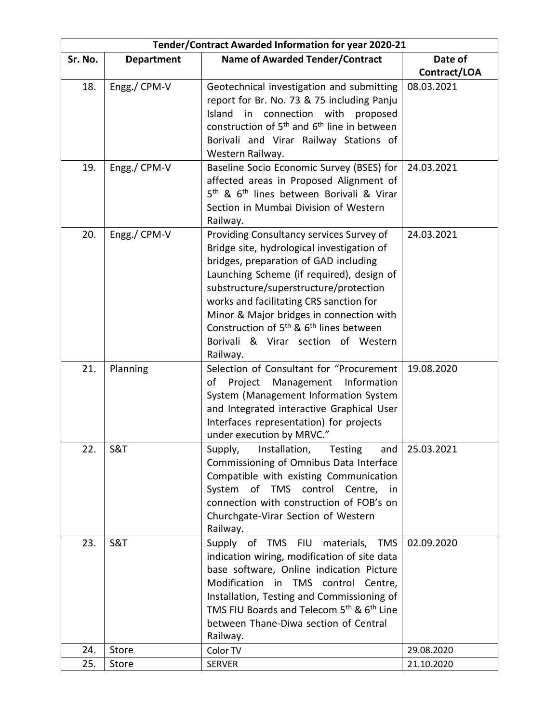| Tender/Contract Awarded Information for year 2020-21 |                   |                                                                     |              |
|------------------------------------------------------|-------------------|---------------------------------------------------------------------|--------------|
| Sr. No.                                              | <b>Department</b> | <b>Name of Awarded Tender/Contract</b>                              | Date of      |
|                                                      |                   |                                                                     | Contract/LOA |
| 18.                                                  | Engg./ CPM-V      | Geotechnical investigation and submitting                           | 08.03.2021   |
|                                                      |                   | report for Br. No. 73 & 75 including Panju                          |              |
|                                                      |                   | Island in connection with proposed                                  |              |
|                                                      |                   | construction of 5 <sup>th</sup> and 6 <sup>th</sup> line in between |              |
|                                                      |                   | Borivali and Virar Railway Stations of                              |              |
|                                                      |                   | Western Railway.                                                    |              |
| 19.                                                  | Engg./ CPM-V      | Baseline Socio Economic Survey (BSES) for                           | 24.03.2021   |
|                                                      |                   | affected areas in Proposed Alignment of                             |              |
|                                                      |                   | 5 <sup>th</sup> & 6 <sup>th</sup> lines between Borivali & Virar    |              |
|                                                      |                   | Section in Mumbai Division of Western                               |              |
|                                                      |                   | Railway.                                                            |              |
| 20.                                                  | Engg./ CPM-V      | Providing Consultancy services Survey of                            | 24.03.2021   |
|                                                      |                   | Bridge site, hydrological investigation of                          |              |
|                                                      |                   | bridges, preparation of GAD including                               |              |
|                                                      |                   | Launching Scheme (if required), design of                           |              |
|                                                      |                   | substructure/superstructure/protection                              |              |
|                                                      |                   | works and facilitating CRS sanction for                             |              |
|                                                      |                   | Minor & Major bridges in connection with                            |              |
|                                                      |                   | Construction of 5 <sup>th</sup> & 6 <sup>th</sup> lines between     |              |
|                                                      |                   | Borivali & Virar section of Western                                 |              |
|                                                      |                   | Railway.                                                            |              |
| 21.                                                  | Planning          | Selection of Consultant for "Procurement                            | 19.08.2020   |
|                                                      |                   | of Project Management Information                                   |              |
|                                                      |                   | System (Management Information System                               |              |
|                                                      |                   | and Integrated interactive Graphical User                           |              |
|                                                      |                   | Interfaces representation) for projects                             |              |
|                                                      |                   | under execution by MRVC."                                           |              |
| 22.                                                  | <b>S&amp;T</b>    | and<br>Installation, Testing<br>Supply,                             | 25.03.2021   |
|                                                      |                   | Commissioning of Omnibus Data Interface                             |              |
|                                                      |                   | Compatible with existing Communication                              |              |
|                                                      |                   | System of TMS control Centre, in                                    |              |
|                                                      |                   | connection with construction of FOB's on                            |              |
|                                                      |                   | Churchgate-Virar Section of Western                                 |              |
|                                                      |                   | Railway.                                                            |              |
| 23.                                                  | S&T               | Supply of TMS FIU<br>materials,<br><b>TMS</b>                       | 02.09.2020   |
|                                                      |                   | indication wiring, modification of site data                        |              |
|                                                      |                   | base software, Online indication Picture                            |              |
|                                                      |                   | Modification in TMS control Centre,                                 |              |
|                                                      |                   | Installation, Testing and Commissioning of                          |              |
|                                                      |                   | TMS FIU Boards and Telecom 5th & 6th Line                           |              |
|                                                      |                   | between Thane-Diwa section of Central                               |              |
|                                                      |                   | Railway.                                                            |              |
| 24.                                                  | <b>Store</b>      | Color TV                                                            | 29.08.2020   |
| 25.                                                  | Store             | <b>SERVER</b>                                                       | 21.10.2020   |